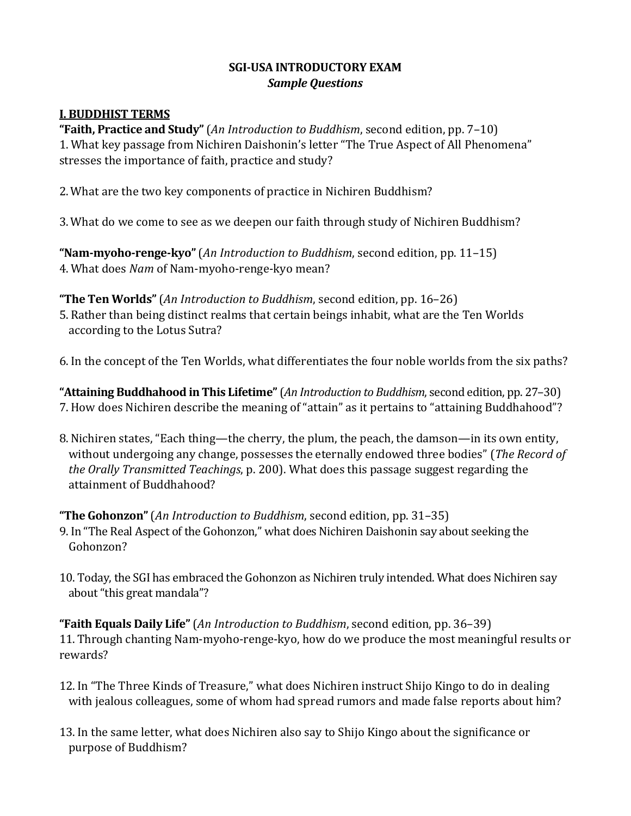## **SGI-USA INTRODUCTORY EXAM** *Sample Questions*

## **I. BUDDHIST TERMS**

**"Faith, Practice and Study"**(*An Introduction to Buddhism*, second edition, pp. 7–10) 1. What key passage from Nichiren Daishonin's letter "The True Aspect of All Phenomena" stresses the importance of faith, practice and study?

- 2. What are the two key components of practice in Nichiren Buddhism?
- 3. What do we come to see as we deepen our faith through study of Nichiren Buddhism?

**"Nam-myoho-renge-kyo"**(*An Introduction to Buddhism*, second edition, pp. 11–15) 4. What does *Nam* of Nam-myoho-renge-kyo mean?

#### **"The Ten Worlds"**(*An Introduction to Buddhism*, second edition, pp. 16–26)

- 5. Rather than being distinct realms that certain beings inhabit, what are the Ten Worlds according to the Lotus Sutra?
- 6. In the concept of the Ten Worlds, what differentiates the four noble worlds from the six paths?

**"Attaining Buddhahood in This Lifetime"**(*An Introduction to Buddhism*, second edition, pp. 27–30) 7. How does Nichiren describe the meaning of "attain" as it pertains to "attaining Buddhahood"?

8. Nichiren states, "Each thing—the cherry, the plum, the peach, the damson—in its own entity, without undergoing any change, possesses the eternally endowed three bodies" (*The Record of the Orally Transmitted Teachings*, p. 200). What does this passage suggest regarding the attainment of Buddhahood?

## **"The Gohonzon"**(*An Introduction to Buddhism*, second edition, pp. 31–35)

- 9. In "The Real Aspect of the Gohonzon," what does Nichiren Daishonin say about seeking the Gohonzon?
- 10. Today, the SGI has embraced the Gohonzon as Nichiren truly intended. What does Nichiren say about "this great mandala"?

**"Faith Equals Daily Life"**(*An Introduction to Buddhism*, second edition, pp. 36–39) 11. Through chanting Nam-myoho-renge-kyo, how do we produce the most meaningful results or rewards?

- 12. In "The Three Kinds of Treasure," what does Nichiren instruct Shijo Kingo to do in dealing with jealous colleagues, some of whom had spread rumors and made false reports about him?
- 13. In the same letter, what does Nichiren also say to Shijo Kingo about the significance or purpose of Buddhism?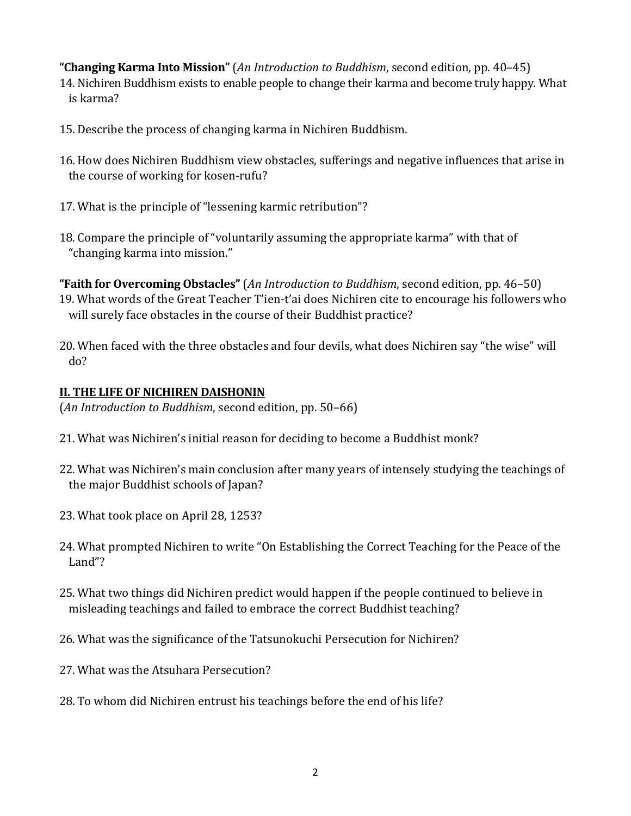**"Changing Karma Into Mission"**(*An Introduction to Buddhism*, second edition, pp. 40–45)

- 14. Nichiren Buddhism exists to enable people to change their karma and become truly happy. What is karma?
- 15. Describe the process of changing karma in Nichiren Buddhism.
- 16. How does Nichiren Buddhism view obstacles, sufferings and negative influences that arise in the course of working for kosen-rufu?
- 17. What is the principle of "lessening karmic retribution"?
- 18. Compare the principle of "voluntarily assuming the appropriate karma" with that of "changing karma into mission."

**"Faith for Overcoming Obstacles"** (*An Introduction to Buddhism*, second edition, pp. 46–50) 19. What words of the Great Teacher T'ien-t'ai does Nichiren cite to encourage his followers who will surely face obstacles in the course of their Buddhist practice?

20. When faced with the three obstacles and four devils, what does Nichiren say "the wise" will do?

# **II. THE LIFE OF NICHIREN DAISHONIN**

(*An Introduction to Buddhism*, second edition, pp. 50–66)

- 21. What was Nichiren's initial reason for deciding to become a Buddhist monk?
- 22. What was Nichiren's main conclusion after many years of intensely studying the teachings of the major Buddhist schools of Japan?
- 23. What took place on April 28, 1253?
- 24. What prompted Nichiren to write "On Establishing the Correct Teaching for the Peace of the Land"?
- 25. What two things did Nichiren predict would happen if the people continued to believe in misleading teachings and failed to embrace the correct Buddhist teaching?
- 26. What was the significance of the Tatsunokuchi Persecution for Nichiren?
- 27. What was the Atsuhara Persecution?
- 28. To whom did Nichiren entrust his teachings before the end of his life?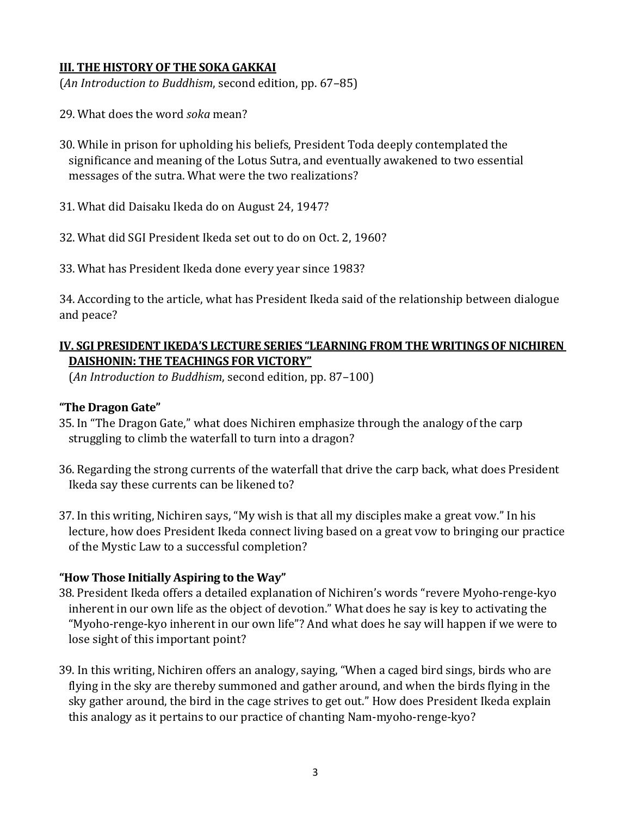#### **III. THE HISTORY OF THE SOKA GAKKAI**

(*An Introduction to Buddhism*, second edition, pp. 67–85)

- 29. What does the word *soka* mean?
- 30. While in prison for upholding his beliefs, President Toda deeply contemplated the significance and meaning of the Lotus Sutra, and eventually awakened to two essential messages of the sutra. What were the two realizations?
- 31. What did Daisaku Ikeda do on August 24, 1947?
- 32. What did SGI President Ikeda set out to do on Oct. 2, 1960?
- 33. What has President Ikeda done every year since 1983?

34. According to the article, what has President Ikeda said of the relationship between dialogue and peace?

## **IV. SGI PRESIDENT IKEDA'S LECTURE SERIES "LEARNING FROM THE WRITINGS OF NICHIREN DAISHONIN: THE TEACHINGS FOR VICTORY"**

(*An Introduction to Buddhism*, second edition, pp. 87–100)

#### **"The Dragon Gate"**

- 35. In "The Dragon Gate," what does Nichiren emphasize through the analogy of the carp struggling to climb the waterfall to turn into a dragon?
- 36. Regarding the strong currents of the waterfall that drive the carp back, what does President Ikeda say these currents can be likened to?
- 37. In this writing, Nichiren says, "My wish is that all my disciples make a great vow." In his lecture, how does President Ikeda connect living based on a great vow to bringing our practice of the Mystic Law to a successful completion?

## **"How Those Initially Aspiring to the Way"**

- 38. President Ikeda offers a detailed explanation of Nichiren's words "revere Myoho-renge-kyo inherent in our own life as the object of devotion." What does he say is key to activating the "Myoho-renge-kyo inherent in our own life"? And what does he say will happen if we were to lose sight of this important point?
- 39. In this writing, Nichiren offers an analogy, saying, "When a caged bird sings, birds who are flying in the sky are thereby summoned and gather around, and when the birds flying in the sky gather around, the bird in the cage strives to get out." How does President Ikeda explain this analogy as it pertains to our practice of chanting Nam-myoho-renge-kyo?